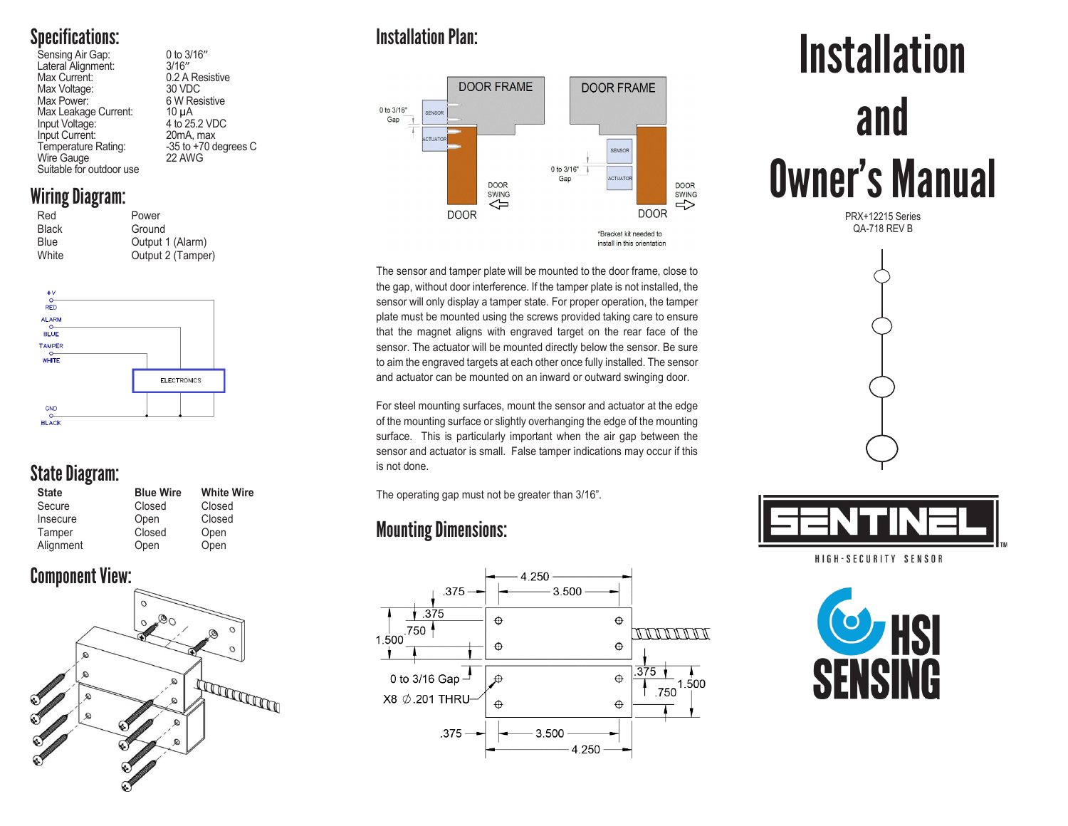## Specifications:

| Sensing Air Gap:         | 0 to 3/16"               |
|--------------------------|--------------------------|
| Lateral Alignment:       | 3/16''                   |
| Max Current:             | 0.2 A Resistive          |
| Max Voltage:             | 30 VDC                   |
| Max Power:               | 6 W Resistive            |
| Max Leakage Current:     | $10 \mu A$               |
| Input Voltage:           | 4 to 25.2 VDC            |
| Input Current:           | 20mA, max                |
| Temperature Rating:      | $-35$ to $+70$ degrees C |
| Wire Gauge               | 22 AWG                   |
| Suitable for outdoor use |                          |
|                          |                          |

#### Wiring Diagram:

| Red          | Power             |  |
|--------------|-------------------|--|
| <b>Black</b> | Ground            |  |
| Blue         | Output 1 (Alarm)  |  |
| White        | Output 2 (Tamper) |  |
|              |                   |  |



## State Diagram:

| <b>State</b> | <b>Blue Wire</b> | <b>White Wire</b> |
|--------------|------------------|-------------------|
| Secure       | Closed           | Closed            |
| Insecure     | Open             | Closed            |
| Tamper       | Closed           | Open              |
| Alignment    | Open             | Open              |

### Component View:



## Installation Plan:



The sensor and tamper plate will be mounted to the door frame, close to the gap, without door interference. If the tamper plate is not installed, the sensor will only display a tamper state. For proper operation, the tamper plate must be mounted using the screws provided taking care to ensure that the magnet aligns with engraved target on the rear face of the sensor. The actuator will be mounted directly below the sensor. Be sure to aim the engraved targets at each other once fully installed. The sensor and actuator can be mounted on an inward or outward swinging door.

For steel mounting surfaces, mount the sensor and actuator at the edge of the mounting surface or slightly overhanging the edge of the mounting surface. This is particularly important when the air gap between the sensor and actuator is small. False tamper indications may occur if this is not done.

The operating gap must not be greater than 3/16".

## Mounting Dimensions:



# **Installation** and Owner's Manual

PRX+12215 Series QA-718 REV B